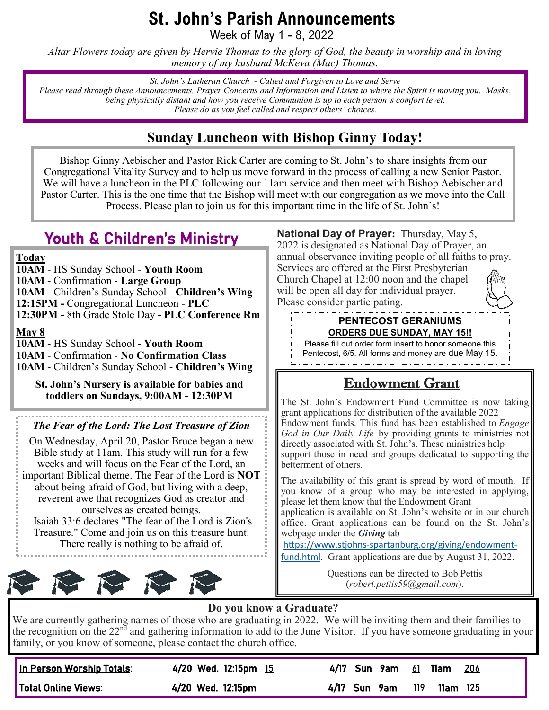# **St. John's Parish Announcements**

Week of May 1 - 8, 2022

*Altar Flowers today are given by Hervie Thomas to the glory of God, the beauty in worship and in loving memory of my husband McKeva (Mac) Thomas.*

*St. John's Lutheran Church - Called and Forgiven to Love and Serve Please read through these Announcements, Prayer Concerns and Information and Listen to where the Spirit is moving you. Masks, being physically distant and how you receive Communion is up to each person's comfort level. Please do as you feel called and respect others' choices.*

### **Sunday Luncheon with Bishop Ginny Today!**

Bishop Ginny Aebischer and Pastor Rick Carter are coming to St. John's to share insights from our Congregational Vitality Survey and to help us move forward in the process of calling a new Senior Pastor. We will have a luncheon in the PLC following our 11am service and then meet with Bishop Aebischer and Pastor Carter. This is the one time that the Bishop will meet with our congregation as we move into the Call Process. Please plan to join us for this important time in the life of St. John's!

## Youth & Children's Ministry

**Today**

**10AM** - HS Sunday School - **Youth Room 10AM** - Confirmation - **Large Group 10AM** - Children's Sunday School - **Children's Wing 12:15PM -** Congregational Luncheon - **PLC 12:30PM -** 8th Grade Stole Day **- PLC Conference Rm**

**May 8**

**10AM** - HS Sunday School - **Youth Room 10AM** - Confirmation - **No Confirmation Class 10AM** - Children's Sunday School - **Children's Wing**

**St. John's Nursery is available for babies and toddlers on Sundays, 9:00AM - 12:30PM**

*The Fear of the Lord: The Lost Treasure of Zion*

On Wednesday, April 20, Pastor Bruce began a new Bible study at 11am. This study will run for a few weeks and will focus on the Fear of the Lord, an important Biblical theme. The Fear of the Lord is **NOT**  about being afraid of God, but living with a deep, reverent awe that recognizes God as creator and ourselves as created beings. Isaiah 33:6 declares "The fear of the Lord is Zion's Treasure." Come and join us on this treasure hunt. There really is nothing to be afraid of.



**National Day of Prayer:** Thursday, May 5, 2022 is designated as National Day of Prayer, an annual observance inviting people of all faiths to pray. Services are offered at the First Presbyterian Church Chapel at 12:00 noon and the chapel will be open all day for individual prayer. Please consider participating.

#### **PENTECOST GERANIUMS ORDERS DUE SUNDAY, MAY 15!!**

Please fill out order form insert to honor someone this Pentecost, 6/5. All forms and money are due May 15. 

## Endowment Grant

The St. John's Endowment Fund Committee is now taking grant applications for distribution of the available 2022 Endowment funds. This fund has been established to *Engage God in Our Daily Life* by providing grants to ministries not directly associated with St. John's. These ministries help support those in need and groups dedicated to supporting the betterment of others.

The availability of this grant is spread by word of mouth. If you know of a group who may be interested in applying, please let them know that the Endowment Grant

application is available on St. John's website or in our church office. Grant applications can be found on the St. John's webpage under the *Giving* tab

https://www.stjohns-[spartanburg.org/giving/endowment](https://www.stjohns-spartanburg.org/giving/endowment-fund.html)[fund.html](https://www.stjohns-spartanburg.org/giving/endowment-fund.html). Grant applications are due by August 31, 2022.

> Questions can be directed to Bob Pettis (*robert.pettis59@gmail.com*).

### **Do you know a Graduate?**

We are currently gathering names of those who are graduating in 2022. We will be inviting them and their families to the recognition on the  $22^{n\tilde{d}}$  and gathering information to add to the June Visitor. If you have someone graduating in your family, or you know of someone, please contact the church office.

| In Person Worship Totals: | 4/20 Wed. 12:15pm 15 | 4/17 Sun 9am | <u>61</u> 11am<br>206  |
|---------------------------|----------------------|--------------|------------------------|
| Total Online Views:       | 4/20 Wed. 12:15pm    | 4/17 Sun 9am | 119<br><b>11am</b> 125 |